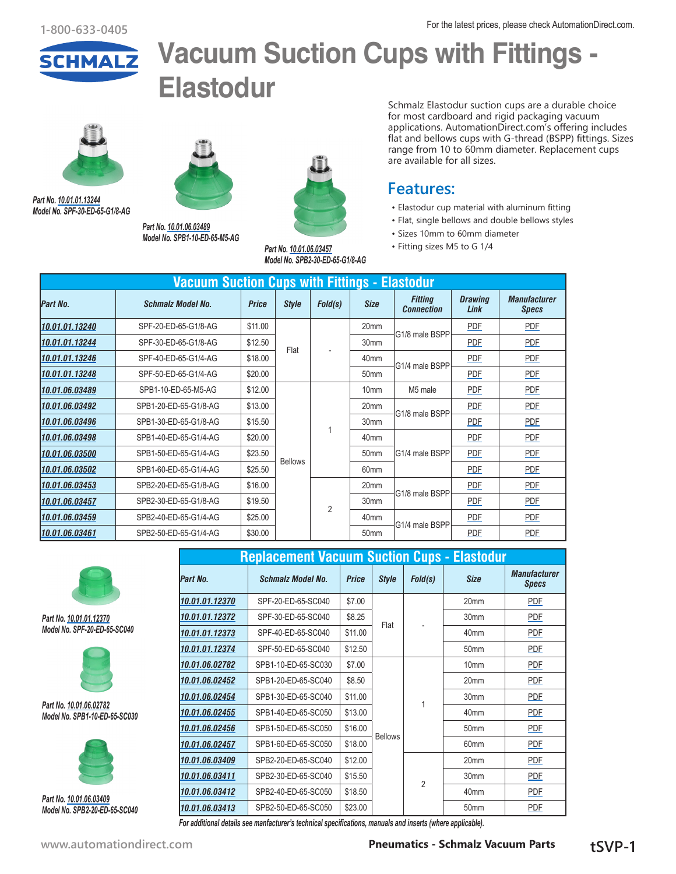

# **Vacuum Suction Cups with Fittings - Elastodur**



*Part No. [10.01.01.13244](http://www.automationdirect.com/pn/10.01.01.13244) Model No. SPF-30-ED-65-G1/8-AG* 



*Part No. [10.01.06.03489](http://www.automationdirect.com/pn/10.01.06.03489) Model No. SPB1-10-ED-65-M5-AG*



*Part No. [10.01.06.03457](http://www.automationdirect.com/pn/10.01.06.03457) Model No. SPB2-30-ED-65-G1/8-AG*

Schmalz Elastodur suction cups are a durable choice for most cardboard and rigid packaging vacuum applications. AutomationDirect.com's offering includes flat and bellows cups with G-thread (BSPP) fittings. Sizes range from 10 to 60mm diameter. Replacement cups are available for all sizes.

#### **Features:**

- Elastodur cup material with aluminum fitting
- Flat, single bellows and double bellows styles
- Sizes 10mm to 60mm diameter
- Fitting sizes M5 to G 1/4

|                 | <b>Vacuum Suction Cups with Fittings - Elastodur</b> |              |                |                |                  |                                     |                        |                                     |  |  |  |  |
|-----------------|------------------------------------------------------|--------------|----------------|----------------|------------------|-------------------------------------|------------------------|-------------------------------------|--|--|--|--|
| <b>Part No.</b> | <b>Schmalz Model No.</b>                             | <b>Price</b> | <b>Style</b>   | Fold(s)        | <b>Size</b>      | <b>Fitting</b><br><b>Connection</b> | <b>Drawing</b><br>Link | <b>Manufacturer</b><br><b>Specs</b> |  |  |  |  |
| 10.01.01.13240  | SPF-20-ED-65-G1/8-AG                                 | \$11.00      |                |                | 20mm             | G1/8 male BSPP                      | PDF                    | <b>PDF</b>                          |  |  |  |  |
| 10.01.01.13244  | SPF-30-ED-65-G1/8-AG                                 | \$12.50      | Flat           |                | 30 <sub>mm</sub> |                                     | <b>PDF</b>             | <b>PDF</b>                          |  |  |  |  |
| 10.01.01.13246  | SPF-40-ED-65-G1/4-AG                                 | \$18.00      |                |                | 40 <sub>mm</sub> |                                     | PDF                    | PDF                                 |  |  |  |  |
| 10.01.01.13248  | SPF-50-ED-65-G1/4-AG                                 | \$20.00      |                |                | 50 <sub>mm</sub> | G1/4 male BSPP                      | <b>PDF</b>             | <b>PDF</b>                          |  |  |  |  |
| 10.01.06.03489  | SPB1-10-ED-65-M5-AG                                  | \$12.00      |                |                | 10 <sub>mm</sub> | M5 male                             | PDF                    | PDF                                 |  |  |  |  |
| 10.01.06.03492  | SPB1-20-ED-65-G1/8-AG                                | \$13.00      |                |                | 20 <sub>mm</sub> |                                     | PDF                    | <b>PDF</b>                          |  |  |  |  |
| 10.01.06.03496  | SPB1-30-ED-65-G1/8-AG                                | \$15.50      |                |                | 30 <sub>mm</sub> | G1/8 male BSPP                      | PDF                    | <b>PDF</b>                          |  |  |  |  |
| 10.01.06.03498  | SPB1-40-ED-65-G1/4-AG                                | \$20.00      |                |                | 40mm             |                                     | PDF                    | PDF                                 |  |  |  |  |
| 10.01.06.03500  | SPB1-50-ED-65-G1/4-AG                                | \$23.50      |                |                | 50 <sub>mm</sub> | G1/4 male BSPP                      | PDF                    | <b>PDF</b>                          |  |  |  |  |
| 10.01.06.03502  | SPB1-60-ED-65-G1/4-AG                                | \$25.50      | <b>Bellows</b> |                | 60mm             |                                     | PDF                    | <b>PDF</b>                          |  |  |  |  |
| 10.01.06.03453  | SPB2-20-ED-65-G1/8-AG                                | \$16.00      |                |                | 20mm             |                                     | PDF                    | <b>PDF</b>                          |  |  |  |  |
| 10.01.06.03457  | SPB2-30-ED-65-G1/8-AG                                | \$19.50      |                | $\overline{2}$ | 30mm             | G1/8 male BSPP                      | <b>PDF</b>             | <b>PDF</b>                          |  |  |  |  |
| 10.01.06.03459  | SPB2-40-ED-65-G1/4-AG                                | \$25.00      |                |                | 40mm             |                                     | <b>PDF</b>             | <b>PDF</b>                          |  |  |  |  |
| 10.01.06.03461  | SPB2-50-ED-65-G1/4-AG                                | \$30.00      |                |                | 50mm             | G1/4 male BSPP                      | PDF                    | <b>PDF</b>                          |  |  |  |  |



*Part No. [10.01.01.12370](http://www.automationdirect.com/pn/10.01.01.12370) Model No. SPF-20-ED-65-SC040*



*Part No. [10.01.06.02782](http://www.automationdirect.com/pn/10.01.06.02782) Model No. SPB1-10-ED-65-SC030*



*Part No. [10.01.06.03409](http://www.automationdirect.com/pn/10.01.06.03409) Model No. SPB2-20-ED-65-SC040* 

|                | <b>Replacement Vacuum Suction Cups - Elastodur</b> |              |                |                |                  |                                     |            |
|----------------|----------------------------------------------------|--------------|----------------|----------------|------------------|-------------------------------------|------------|
| Part No.       | <b>Schmalz Model No.</b>                           | <b>Price</b> | <b>Style</b>   | Fold(s)        | <b>Size</b>      | <b>Manufacturer</b><br><b>Specs</b> |            |
| 10.01.01.12370 | SPF-20-ED-65-SC040                                 | \$7.00       |                |                |                  | 20 <sub>mm</sub>                    | <b>PDF</b> |
| 10.01.01.12372 | SPF-30-ED-65-SC040                                 | \$8.25       |                |                |                  |                                     | 30mm       |
| 10.01.01.12373 | SPF-40-ED-65-SC040                                 | \$11.00      | Flat           |                | 40mm             | <b>PDF</b>                          |            |
| 10.01.01.12374 | SPF-50-ED-65-SC040                                 | \$12.50      |                |                | 50 <sub>mm</sub> | <b>PDF</b>                          |            |
| 10.01.06.02782 | SPB1-10-ED-65-SC030                                | \$7.00       |                |                |                  | 10 <sub>mm</sub>                    | <b>PDF</b> |
| 10.01.06.02452 | SPB1-20-ED-65-SC040                                | \$8.50       |                |                | 20mm             | <b>PDF</b>                          |            |
| 10.01.06.02454 | SPB1-30-ED-65-SC040                                | \$11.00      |                | 1              | 30mm             | <b>PDF</b>                          |            |
| 10.01.06.02455 | SPB1-40-ED-65-SC050                                | \$13.00      |                |                | 40mm             | PDF                                 |            |
| 10.01.06.02456 | SPB1-50-ED-65-SC050                                | \$16.00      |                |                | 50 <sub>mm</sub> | <b>PDF</b>                          |            |
| 10.01.06.02457 | SPB1-60-ED-65-SC050                                | \$18.00      | <b>Bellows</b> |                | 60mm             | <b>PDF</b>                          |            |
| 10.01.06.03409 | SPB2-20-ED-65-SC040                                | \$12.00      |                |                | 20 <sub>mm</sub> | <b>PDF</b>                          |            |
| 10.01.06.03411 | SPB2-30-ED-65-SC040                                | \$15.50      |                | $\overline{2}$ | 30mm             | <b>PDF</b>                          |            |
| 10.01.06.03412 | SPB2-40-ED-65-SC050                                | \$18.50      |                |                | 40mm             | PDF                                 |            |
| 10.01.06.03413 | SPB2-50-ED-65-SC050                                | \$23.00      |                |                | 50mm             | <b>PDF</b>                          |            |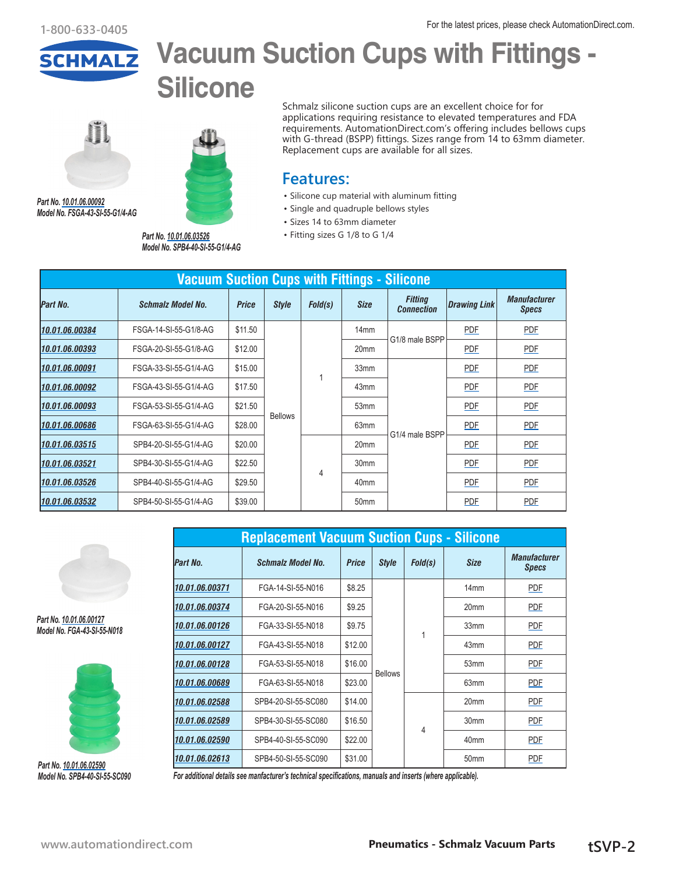

# **Vacuum Suction Cups with Fittings -**

**Silicone**



*Part No. [10.01.06.00092](http://www.automationdirect.com/pn/10.01.06.00092) Model No. FSGA-43-SI-55-G1/4-AG*



*Model No. SPB4-40-SI-55-G1/4-AG*

Schmalz silicone suction cups are an excellent choice for for applications requiring resistance to elevated temperatures and FDA requirements. AutomationDirect.com's offering includes bellows cups with G-thread (BSPP) fittings. Sizes range from 14 to 63mm diameter. Replacement cups are available for all sizes.

### **Features:**

- Silicone cup material with aluminum fitting
- Single and quadruple bellows styles
- Sizes 14 to 63mm diameter
- *Part No. [10.01.06.03526](http://www.automationdirect.com/pn/10.01.06.03526)* Fitting sizes G 1/8 to G 1/4

| <b>Vacuum Suction Cups with Fittings - Silicone</b> |                          |              |              |         |                  |                                     |                     |                                     |  |            |            |  |
|-----------------------------------------------------|--------------------------|--------------|--------------|---------|------------------|-------------------------------------|---------------------|-------------------------------------|--|------------|------------|--|
| Part No.                                            | <b>Schmalz Model No.</b> | <b>Price</b> | <b>Style</b> | Fold(s) | <b>Size</b>      | <b>Fitting</b><br><b>Connection</b> | <b>Drawing Link</b> | <b>Manufacturer</b><br><b>Specs</b> |  |            |            |  |
| 10.01.06.00384                                      | FSGA-14-SI-55-G1/8-AG    | \$11.50      |              |         | 14mm             | G1/8 male BSPP                      | <b>PDF</b>          | <b>PDF</b>                          |  |            |            |  |
| 10.01.06.00393                                      | FSGA-20-SI-55-G1/8-AG    | \$12.00      |              |         | 20 <sub>mm</sub> |                                     | <b>PDF</b>          | <b>PDF</b>                          |  |            |            |  |
| 10.01.06.00091                                      | FSGA-33-SI-55-G1/4-AG    | \$15.00      |              |         | 33mm             |                                     | PDF                 | <b>PDF</b>                          |  |            |            |  |
| 10.01.06.00092                                      | FSGA-43-SI-55-G1/4-AG    | \$17.50      |              |         | 43mm             |                                     | <b>PDF</b>          | <b>PDF</b>                          |  |            |            |  |
| 10.01.06.00093                                      | FSGA-53-SI-55-G1/4-AG    | \$21.50      |              |         |                  | <b>Bellows</b>                      |                     | 53 <sub>mm</sub>                    |  | <b>PDF</b> | <b>PDF</b> |  |
| 10.01.06.00686                                      | FSGA-63-SI-55-G1/4-AG    | \$28.00      |              |         | 63mm             |                                     | PDF                 | PDF                                 |  |            |            |  |
| 10.01.06.03515                                      | SPB4-20-SI-55-G1/4-AG    | \$20.00      |              |         | 20 <sub>mm</sub> | G1/4 male BSPP                      | PDF                 | PDF                                 |  |            |            |  |
| 10.01.06.03521                                      | SPB4-30-SI-55-G1/4-AG    | \$22.50      |              |         | 30mm             |                                     | <b>PDF</b>          | <b>PDF</b>                          |  |            |            |  |
| 10.01.06.03526                                      | SPB4-40-SI-55-G1/4-AG    | \$29.50      |              | 4       | 40 <sub>mm</sub> |                                     | <b>PDF</b>          | <b>PDF</b>                          |  |            |            |  |
| 10.01.06.03532                                      | SPB4-50-SI-55-G1/4-AG    | \$39.00      |              |         | 50 <sub>mm</sub> |                                     | <b>PDF</b>          | <b>PDF</b>                          |  |            |            |  |



*Part No. [10.01.06.00127](http://www.automationdirect.com/pn/10.01.06.00127) Model No. FGA-43-SI-55-N018*



*Part No. [10.01.06.02590](http://www.automationdirect.com/pn/10.01.06.02590) Model No. SPB4-40-SI-55-SC090*

|                | <b>Replacement Vacuum Suction Cups - Silicone</b> |              |                |         |                  |                                     |
|----------------|---------------------------------------------------|--------------|----------------|---------|------------------|-------------------------------------|
| Part No.       | <b>Schmalz Model No.</b>                          | <b>Price</b> | <b>Style</b>   | Fold(s) | <b>Size</b>      | <b>Manufacturer</b><br><b>Specs</b> |
| 10.01.06.00371 | FGA-14-SI-55-N016                                 | \$8.25       |                |         | 14 <sub>mm</sub> | <b>PDF</b>                          |
| 10.01.06.00374 | FGA-20-SI-55-N016                                 | \$9.25       |                |         | 20mm             | PDF                                 |
| 10.01.06.00126 | FGA-33-SI-55-N018                                 | \$9.75       |                | 1       | 33mm             | <b>PDF</b>                          |
| 10.01.06.00127 | FGA-43-SI-55-N018                                 | \$12.00      |                |         | 43mm             | <b>PDF</b>                          |
| 10.01.06.00128 | FGA-53-SI-55-N018                                 | \$16.00      |                |         | 53mm             | <b>PDF</b>                          |
| 10.01.06.00689 | FGA-63-SI-55-N018                                 | \$23.00      | <b>Bellows</b> |         | 63mm             | <b>PDF</b>                          |
| 10.01.06.02588 | SPB4-20-SI-55-SC080                               | \$14.00      |                |         | 20 <sub>mm</sub> | <b>PDF</b>                          |
| 10.01.06.02589 | SPB4-30-SI-55-SC080                               | \$16.50      |                |         | 30mm             | PDF                                 |
| 10.01.06.02590 | SPB4-40-SI-55-SC090                               | \$22.00      |                | 4       | 40 <sub>mm</sub> | <b>PDF</b>                          |
| 10.01.06.02613 | SPB4-50-SI-55-SC090                               | \$31.00      |                |         | 50 <sub>mm</sub> | <b>PDF</b>                          |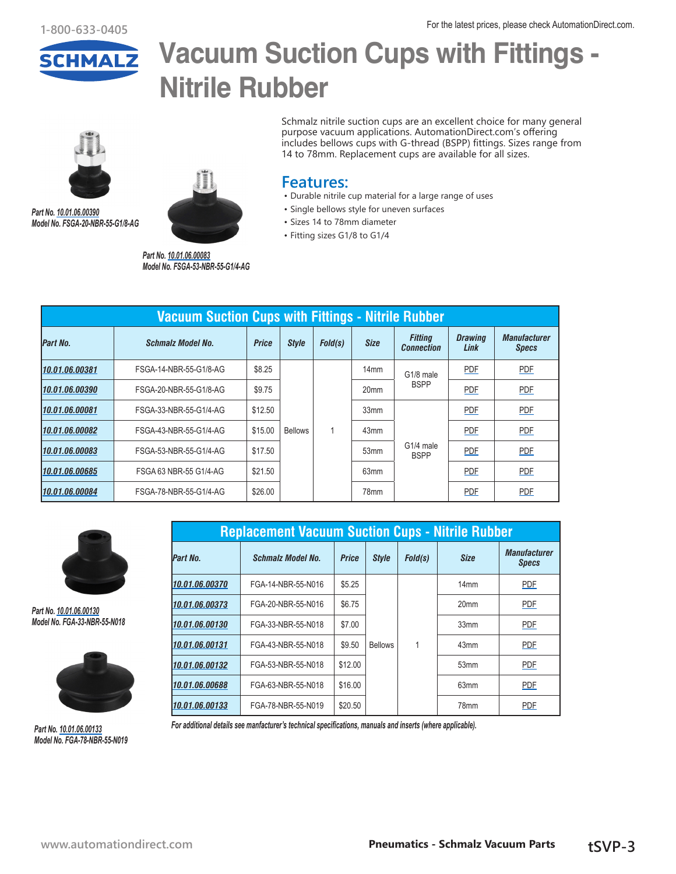

### **Vacuum Suction Cups with Fittings - Nitrile Rubber**



*Part No. [10.01.06.00390](http://www.automationdirect.com/pn/10.01.06.00390) Model No. FSGA-20-NBR-55-G1/8-AG*



*Part No. [10.01.06.00083](http://www.automationdirect.com/pn/10.01.06.00083) Model No. FSGA-53-NBR-55-G1/4-AG* Schmalz nitrile suction cups are an excellent choice for many general purpose vacuum applications. AutomationDirect.com's offering includes bellows cups with G-thread (BSPP) fittings. Sizes range from 14 to 78mm. Replacement cups are available for all sizes.

#### **Features:**

- Durable nitrile cup material for a large range of uses
- Single bellows style for uneven surfaces
- Sizes 14 to 78mm diameter
- Fitting sizes G1/8 to G1/4

| Vacuum Suction Cups with Fittings - Nitrile Rubber |                          |              |                |         |                  |                                         |                        |                                     |  |  |  |  |
|----------------------------------------------------|--------------------------|--------------|----------------|---------|------------------|-----------------------------------------|------------------------|-------------------------------------|--|--|--|--|
| Part No.                                           | <b>Schmalz Model No.</b> | <b>Price</b> | <b>Style</b>   | Fold(s) | <b>Size</b>      | <b>Fitting</b><br><b>Connection</b>     | <b>Drawing</b><br>Link | <b>Manufacturer</b><br><b>Specs</b> |  |  |  |  |
| 10.01.06.00381                                     | FSGA-14-NBR-55-G1/8-AG   | \$8.25       |                |         | 14 <sub>mm</sub> | G1/8 male                               | <b>PDF</b>             | <b>PDF</b>                          |  |  |  |  |
| 10.01.06.00390                                     | FSGA-20-NBR-55-G1/8-AG   | \$9.75       |                |         | 20 <sub>mm</sub> | <b>BSPP</b><br>G1/4 male<br><b>BSPP</b> | <b>PDF</b>             | <b>PDF</b>                          |  |  |  |  |
| 10.01.06.00081                                     | FSGA-33-NBR-55-G1/4-AG   | \$12.50      |                |         | 33mm             |                                         | <b>PDF</b>             | <b>PDF</b>                          |  |  |  |  |
| 10.01.06.00082                                     | FSGA-43-NBR-55-G1/4-AG   | \$15.00      | <b>Bellows</b> |         | 43mm             |                                         | <b>PDF</b>             | <b>PDF</b>                          |  |  |  |  |
| 10.01.06.00083                                     | FSGA-53-NBR-55-G1/4-AG   | \$17.50      |                |         | 53mm             |                                         | PDF                    | PDF                                 |  |  |  |  |
| 10.01.06.00685                                     | FSGA 63 NBR-55 G1/4-AG   | \$21.50      |                |         | 63 <sub>mm</sub> |                                         | <b>PDF</b>             | <b>PDF</b>                          |  |  |  |  |
| 10.01.06.00084                                     | FSGA-78-NBR-55-G1/4-AG   | \$26.00      |                |         | 78mm             |                                         | PDF                    | PDF                                 |  |  |  |  |



*Part No. [10.01.06.00130](http://www.automationdirect.com/pn/10.01.06.00130) Model No. FGA-33-NBR-55-N018*

*Part No. [10.01.06.00133](http://www.automationdirect.com/pn/10.01.06.00133) Model No. FGA-78-NBR-55-N019*



**Replacement Vacuum Suction Cups - Nitrile Rubber** *Part No. Schmalz Model No. Price Style Fold(s) Size Manufacturer Specs* **[10.01.06.00370](http://www.automationdirect.com/pn/10.01.06.00370)** FGA-14-NBR-55-N016 \$5.25 Bellows 1 14mm | [PDF](https://cdn.automationdirect.com/static/manuals/schmalz/10-01-06-00370 mfg specs.pdf) **[10.01.06.00373](http://www.automationdirect.com/pn/10.01.06.00373)** FGA-20-NBR-55-N016 \$6.75 | 20mm [PDF](https://cdn.automationdirect.com/static/manuals/schmalz/10-01-06-00373 mfg specs.pdf) **[10.01.06.00130](http://www.automationdirect.com/pn/10.01.06.00130)** FGA-33-NBR-55-N018 \$7.00 | | | 33mm | [PDF](https://cdn.automationdirect.com/static/manuals/schmalz/10-01-06-00130 mfg specs.pdf) *[10.01.06.00131](http://www.automationdirect.com/pn/10.01.06.00131)* FGA-43-NBR-55-N018 \$9.50 43mm [PDF](https://cdn.automationdirect.com/static/manuals/schmalz/10-01-06-00131 mfg specs.pdf) *[10.01.06.00132](http://www.automationdirect.com/pn/10.01.06.00132)* FGA-53-NBR-55-N018 \$12.00 53mm [PDF](https://cdn.automationdirect.com/static/manuals/schmalz/10-01-06-00132 mfg specs.pdf) **[10.01.06.00688](http://www.automationdirect.com/pn/10.01.06.00688)** FGA-63-NBR-55-N018 \$16.00 63mm 9DF **[10.01.06.00133](http://www.automationdirect.com/pn/10.01.06.00133)** FGA-78-NBR-55-N019 \$20.50 **78mm** 78mm [PDF](https://cdn.automationdirect.com/static/manuals/schmalz/10-01-06-00133 mfg specs.pdf)

*For additional details see manfacturer's technical specifications, manuals and inserts (where applicable).*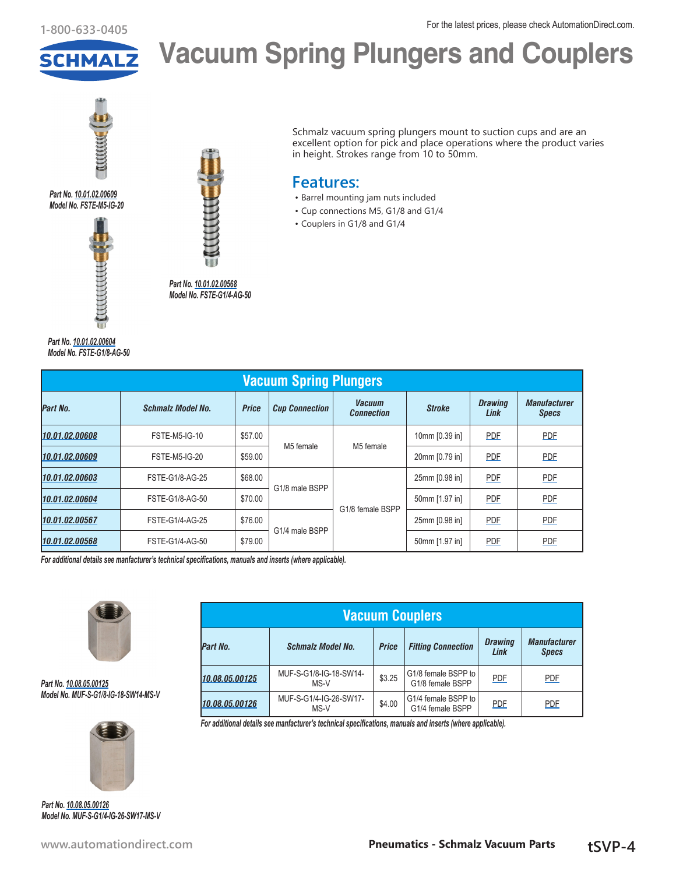For the latest prices, please check AutomationDirect.com. **1-800-633-0405**



**Vacuum Spring Plungers and Couplers**

in height. Strokes range from 10 to 50mm.

• Barrel mounting jam nuts included • Cup connections M5, G1/8 and G1/4

• Couplers in G1/8 and G1/4

**Features:**

Schmalz vacuum spring plungers mount to suction cups and are an excellent option for pick and place operations where the product varies



*Part No. [10.01.02.00609](http://www.automationdirect.com/pn/10.01.02.00609) Model No. FSTE-M5-IG-20*



*Part No. [10.01.02.00604](http://www.automationdirect.com/pn/10.01.02.00604) Model No. FSTE-G1/8-AG-50*



*Part No. [10.01.02.00568](http://www.automationdirect.com/pn/10.01.02.00568) Model No. FSTE-G1/4-AG-50*

**Vacuum Spring Plungers** *Part No. Schmalz Model No. Price Cup Connection Vacuum Connection Stroke Drawing Link Manufacturer Specs [10.01.02.00608](http://www.automationdirect.com/pn/10.01.02.00608)* FSTE-M5-IG-10 \$57.00 M5 female | M5 female 10mm [0.39 in] **[PDF](https://cdn.automationdirect.com/static/manuals/schmalz/10-01-02-00608 mfg specs.pdf) PDF PDF** *[10.01.02.00609](http://www.automationdirect.com/pn/10.01.02.00609)* FSTE-M5-IG-20 \$59.00 20mm [0.79 in] [PDF](https://cdn.automationdirect.com/static/drawings/10.01.02.00609.pdf) [PDF](https://cdn.automationdirect.com/static/manuals/schmalz/10-01-02-00609 mfg specs.pdf) *[10.01.02.00603](http://www.automationdirect.com/pn/10.01.02.00603)* FSTE-G1/8-AG-25 \$68.00 G1/8 male BSPP G1/8 female BSPP 25mm [0.98 in] [PDF](https://cdn.automationdirect.com/static/manuals/schmalz/10-01-02-00603 mfg specs.pdf) PDF PDF *[10.01.02.00604](http://www.automationdirect.com/pn/10.01.02.00604)* FSTE-G1/8-AG-50 \$70.00 50mm [1.97 in] [PDF](https://cdn.automationdirect.com/static/drawings/10.01.02.00604.pdf) [PDF](https://cdn.automationdirect.com/static/manuals/schmalz/10-01-02-00604 mfg specs.pdf) *[10.01.02.00567](http://www.automationdirect.com/pn/10.01.02.00567)* FSTE-G1/4-AG-25 \$76.00 G1/4 male BSPP 25mm [0.98 in] **[PDF](https://cdn.automationdirect.com/static/manuals/schmalz/10-01-02-00567 mfg specs.pdf) PDF PDF** *[10.01.02.00568](http://www.automationdirect.com/pn/10.01.02.00568)* FSTE-G1/4-AG-50 \$79.00 Steps that the south somm [1.97 in] [PDF](https://cdn.automationdirect.com/static/manuals/schmalz/10-01-02-00568 mfg specs.pdf) PDF

*For additional details see manfacturer's technical specifications, manuals and inserts (where applicable).*



*Part No. [10.08.05.00125](http://www.automationdirect.com/pn/10.08.05.00125) Model No. MUF-S-G1/8-IG-18-SW14-MS-V*



*Part No. [10.08.05.00126](http://www.automationdirect.com/pn/10.08.05.00126) Model No. MUF-S-G1/4-IG-26-SW17-MS-V* 

| <b>Vacuum Couplers</b> |                                |              |                                         |                        |                                     |  |  |  |  |  |  |
|------------------------|--------------------------------|--------------|-----------------------------------------|------------------------|-------------------------------------|--|--|--|--|--|--|
| Part No.               | <b>Schmalz Model No.</b>       | <b>Price</b> | <b>Fitting Connection</b>               | <b>Drawing</b><br>Link | <b>Manufacturer</b><br><b>Specs</b> |  |  |  |  |  |  |
| 10.08.05.00125         | MUF-S-G1/8-IG-18-SW14-<br>MS-V | \$3.25       | G1/8 female BSPP to<br>G1/8 female BSPP | <b>PDF</b>             | PDF                                 |  |  |  |  |  |  |
| 10.08.05.00126         | MUF-S-G1/4-IG-26-SW17-<br>MS-V | \$4.00       | G1/4 female BSPP to<br>G1/4 female BSPP | <b>PDF</b>             | <b>PDF</b>                          |  |  |  |  |  |  |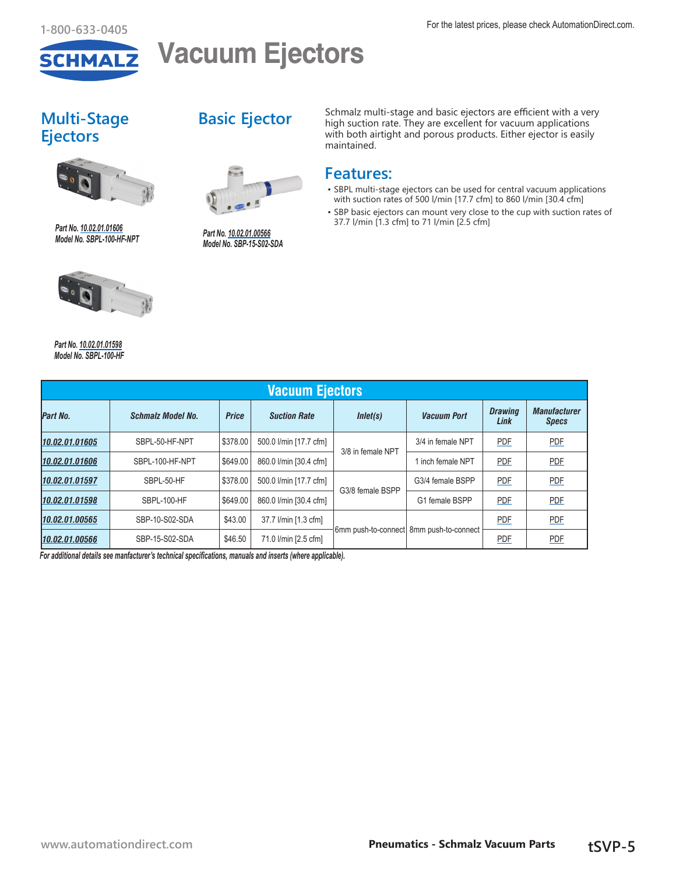

## **Vacuum Ejectors**

### **Multi-Stage Ejectors**



*Part No. [10.02.01.01606](http://www.automationdirect.com/pn/10.02.01.01606) Model No. SBPL-100-HF-NPT*



*Part No. [10.02.01.01598](http://www.automationdirect.com/pn/10.02.01.01598) Model No. SBPL-100-HF*

### **Basic Ejector**



*Part No. [10.02.01.00566](http://www.automationdirect.com/pn/10.02.01.00566) Model No. SBP-15-S02-SDA*

Schmalz multi-stage and basic ejectors are efficient with a very high suction rate. They are excellent for vacuum applications with both airtight and porous products. Either ejector is easily maintained.

### **Features:**

- SBPL multi-stage ejectors can be used for central vacuum applications with suction rates of 500 l/min [17.7 cfm] to 860 l/min [30.4 cfm]
- SBP basic ejectors can mount very close to the cup with suction rates of 37.7 l/min [1.3 cfm] to 71 l/min [2.5 cfm]

| <b>Vacuum Ejectors</b> |                          |              |                        |                   |                                         |                        |                                     |  |  |  |  |  |  |
|------------------------|--------------------------|--------------|------------------------|-------------------|-----------------------------------------|------------------------|-------------------------------------|--|--|--|--|--|--|
| Part No.               | <b>Schmalz Model No.</b> | <b>Price</b> | <b>Suction Rate</b>    | Inlet(s)          | <b>Vacuum Port</b>                      | <b>Drawing</b><br>Link | <b>Manufacturer</b><br><b>Specs</b> |  |  |  |  |  |  |
| 10.02.01.01605         | SBPL-50-HF-NPT           | \$378.00     | 500.0 l/min [17.7 cfm] | 3/8 in female NPT | 3/4 in female NPT                       | PDF                    | <b>PDF</b>                          |  |  |  |  |  |  |
| 10.02.01.01606         | SBPL-100-HF-NPT          | \$649.00     | 860.0 l/min [30.4 cfm] |                   | 1 inch female NPT                       | PDF                    | <b>PDF</b>                          |  |  |  |  |  |  |
| 10.02.01.01597         | SBPL-50-HF               | \$378.00     | 500.0 l/min [17.7 cfm] | G3/8 female BSPP  | G3/4 female BSPP                        | <b>PDF</b>             | <b>PDF</b>                          |  |  |  |  |  |  |
| 10.02.01.01598         | SBPL-100-HF              | \$649.00     | 860.0 l/min [30.4 cfm] |                   | G1 female BSPP                          | PDF                    | PDF                                 |  |  |  |  |  |  |
| 10.02.01.00565         | SBP-10-S02-SDA           | \$43.00      | 37.7 l/min [1.3 cfm]   |                   | 6mm push-to-connect 8mm push-to-connect | <b>PDF</b>             | <b>PDF</b>                          |  |  |  |  |  |  |
| 10.02.01.00566         | SBP-15-S02-SDA           | \$46.50      | 71.0 l/min [2.5 cfm]   |                   |                                         | <b>PDF</b>             | <b>PDF</b>                          |  |  |  |  |  |  |